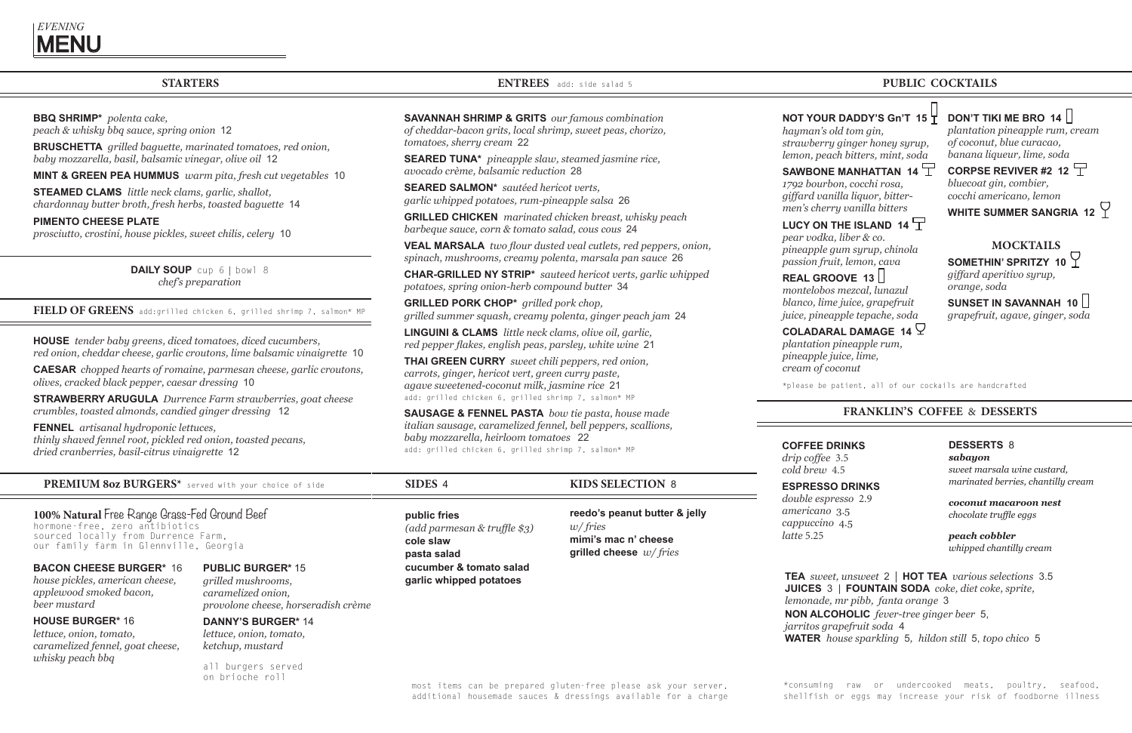## **STARTERS**

**BBQ SHRIMP\*** *polenta cake, peach & whisky bbq sauce, spring onion* 12

**BRUSCHETTA** *grilled baguette, marinated tomatoes, red onion, baby mozzarella, basil, balsamic vinegar, olive oil* 12

**MINT & GREEN PEA HUMMUS** *warm pita, fresh cut vegetables* 10

**STEAMED CLAMS** *little neck clams, garlic, shallot, chardonnay butter broth, fresh herbs, toasted baguette* 14

**PIMENTO CHEESE PLATE**

*prosciutto, crostini, house pickles, sweet chilis, celery* 10

**DAILY SOUP**cup 6 | bowl 8 *chef's preparation*

#### **FIELD OF GREENS** add:grilled chicken 6, grilled shrimp 7, salmon\* MP

**HOUSE** *tender baby greens, diced tomatoes, diced cucumbers, red onion, cheddar cheese, garlic croutons, lime balsamic vinaigrette* 10

**CAESAR** *chopped hearts of romaine, parmesan cheese, garlic croutons, olives, cracked black pepper, caesar dressing* 10

**STRAWBERRY ARUGULA** *Durrence Farm strawberries, goat cheese crumbles, toasted almonds, candied ginger dressing* 12

**FENNEL** *artisanal hydroponic lettuces, thinly shaved fennel root, pickled red onion, toasted pecans, dried cranberries, basil-citrus vinaigrette* 12

**ENTREES** add: side salad 5

**SAVANNAH SHRIMP & GRITS** *our famous combination of cheddar-bacon grits, local shrimp, sweet peas, chorizo,* 

*tomatoes, sherry cream* 22

**SEARED TUNA\*** *pineapple slaw, steamed jasmine rice, avocado crème, balsamic reduction* 28

**SEARED SALMON\*** *sautéed hericot verts, garlic whipped potatoes, rum-pineapple salsa* 26

**GRILLED CHICKEN** *marinated chicken breast, whisky peach barbeque sauce, corn & tomato salad, cous cous* 24

**VEAL MARSALA** *two flour dusted veal cutlets, red peppers, onion, spinach, mushrooms, creamy polenta, marsala pan sauce* 26

**CHAR-GRILLED NY STRIP\*** *sauteed hericot verts, garlic whipped potatoes, spring onion-herb compound butter* 34

**GRILLED PORK CHOP\*** *grilled pork chop, grilled summer squash, creamy polenta, ginger peach jam* 24

**LINGUINI & CLAMS** *little neck clams, olive oil, garlic, red pepper flakes, english peas, parsley, white wine* 21

**THAI GREEN CURRY** *sweet chili peppers, red onion, carrots, ginger, hericot vert, green curry paste, agave sweetened-coconut milk, jasmine rice* 21 add: grilled chicken 6, grilled shrimp 7, salmon\* MP

**SAUSAGE & FENNEL PASTA** *bow tie pasta, house made italian sausage, caramelized fennel, bell peppers, scallions, baby mozzarella, heirloom tomatoes* 22 add: grilled chicken 6, grilled shrimp 7, salmon\* MP

most items can be prepared gluten-free please ask your server, additional housemade sauces & dressings available for a charge

## **PUBLIC COCKTAILS**

**KIDS SELECTION** 8

**reedo's peanut butter & jelly** *w/ fries* **mimi's mac n' cheese grilled cheese** *w/ fries*

### **SIDES** 4

**public fries**  *(add parmesan & truffle \$3)* **cole slaw pasta salad cucumber & tomato salad garlic whipped potatoes**

## **PUBLIC BURGER\*** 15

*grilled mushrooms, caramelized onion, provolone cheese, horseradish crème*

**DANNY'S BURGER\*** 14 *lettuce, onion, tomato,*

*ketchup, mustard*

all burgers served on brioche roll

## **FRANKLIN'S COFFEE** & **DESSERTS**

## **COFFEE DRINKS**

*drip coffee* 3.5 *cold brew* 4.5

#### **ESPRESSO DRINKS**  *double espresso* 2.9 *americano* 3.5 *cappuccino* 4.5 *latte* 5.25

## **DESSERTS** 8

*sabayon sweet marsala wine custard, marinated berries, chantilly cream*

*coconut macaroon nest chocolate truffle eggs*

*peach cobbler whipped chantilly cream*

**TEA** *sweet, unsweet* 2 | **HOT TEA** *various selections* 3.5 **JUICES** 3 | **FOUNTAIN SODA** *coke, diet coke, sprite, lemonade, mr pibb, fanta orange* 3 **NON ALCOHOLIC** *fever-tree ginger beer* 5, *jarritos grapefruit soda* 4 **WATER** *house sparkling* 5*,**hildon still* 5, *topo chico* 5

**PREMIUM 8oz BURGERS\*** served with your choice of side

**100% Natural** Free Range Grass-Fed Ground Beef hormone-free, zero antibiotics

sourced locally from Durrence Farm, our family farm in Glennville, Georgia

**BACON CHEESE BURGER\*** 16 *house pickles, american cheese, applewood smoked bacon,*

*beer mustard*

**HOUSE BURGER\*** 16

*lettuce, onion, tomato, caramelized fennel, goat cheese, whisky peach bbq*

# **NOT YOUR DADDY'S Gn'T 15**

*hayman's old tom gin,*

*strawberry ginger honey syrup, lemon, peach bitters, mint, soda*

## SAWBONE MANHATTAN 14  $\overline{T}$

## LUCY ON THE ISLAND 14  $\Box$

*1792 bourbon, cocchi rosa, giffard vanilla liquor, bittermen's cherry vanilla bitters*

*pear vodka, liber & co. pineapple gum syrup, chinola passion fruit, lemon, cava*

## **REAL GROOVE 13**

*montelobos mezcal, lunazul blanco, lime juice, grapefruit juice, pineapple tepache, soda*

## **COLADARAL DAMAGE 14**  $\mathcal{Q}$

*plantation pineapple rum,* 

## **DON'T TIKI ME BRO 14**

*pineapple juice, lime, cream of coconut*

*plantation pineapple rum, cream of coconut, blue curacao, banana liqueur, lime, soda*

**CORPSE REVIVER #2 12** *bluecoat gin, combier, cocchi americano, lemon*

WHITE SUMMER SANGRIA 12  $\heartsuit$ 

## **MOCKTAILS**

## **SOMETHIN' SPRITZY 10**

*giffard aperitivo syrup, orange, soda*

## **SUNSET IN SAVANNAH 10**

*grapefruit, agave, ginger, soda*

\*please be patient, all of our cockails are handcrafted